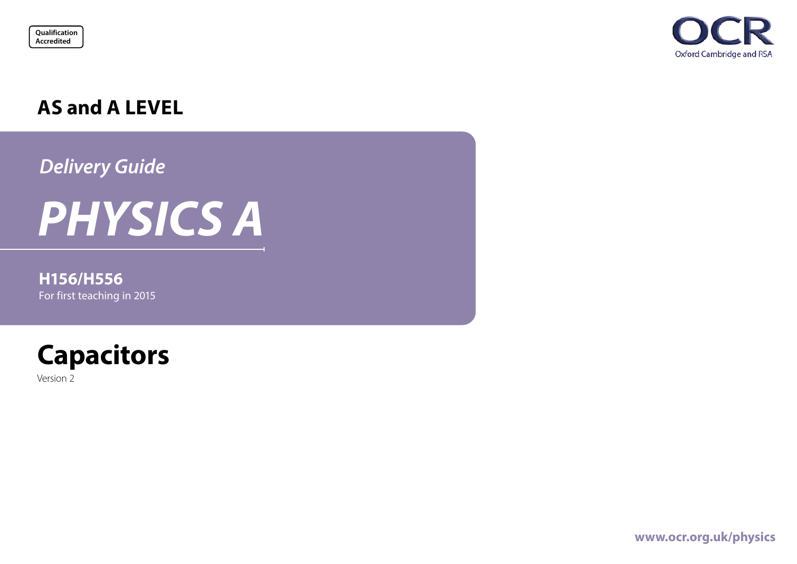



## **AS and A LEVEL**

*Delivery Guide*

# *PHYSICS A*

## **H156/H556** For first teaching in 2015



Version 2

**[www.ocr.org.uk/p](https://www.ocr.org.uk/qualifications/as-and-a-level/physics-a-h156-h556-from-2015/)hysics**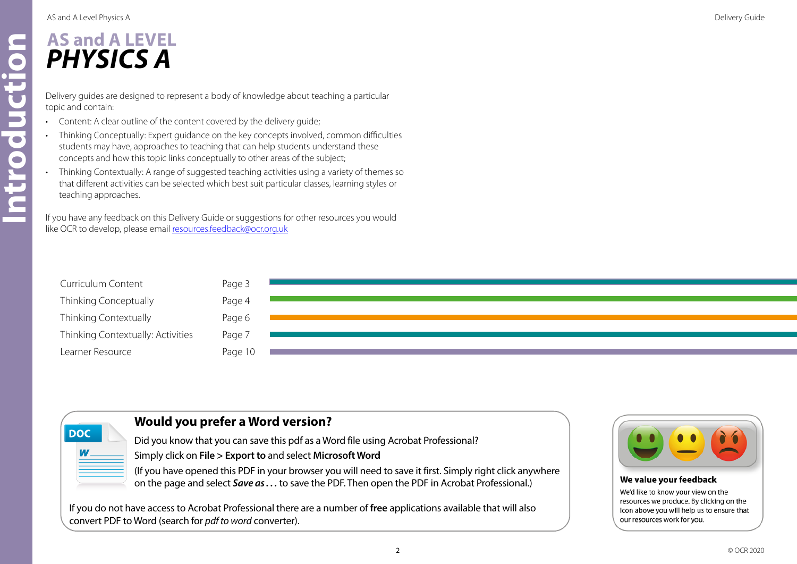AS and A Level Physics A Delivery Guide

## **AS and A LEVEL** *PHYSICS A*

Delivery guides are designed to represent a body of knowledge about teaching a particular topic and contain:

- Content: A clear outline of the content covered by the delivery guide;
- Thinking Conceptually: Expert guidance on the key concepts involved, common difficulties students may have, approaches to teaching that can help students understand these concepts and how this topic links conceptually to other areas of the subject;
- Thinking Contextually: A range of suggested teaching activities using a variety of themes so that different activities can be selected which best suit particular classes, learning styles or teaching approaches.

If you have any feedback on this Delivery Guide or suggestions for other resources you would like OCR to develop, please email resources.feedback@ocr.org.uk

| Curriculum Content                | Page 3  |  |
|-----------------------------------|---------|--|
| Thinking Conceptually             | Page 4  |  |
| Thinking Contextually             | Page 6  |  |
| Thinking Contextually: Activities | Page 7  |  |
| Learner Resource                  | Page 10 |  |



## **Would you prefer a Word version?**

Did you know that you can save this pdf as a Word file using Acrobat Professional?

Simply click on **File > Export to** and select **Microsoft Word**

(If you have opened this PDF in your browser you will need to save it first. Simply right click anywhere on the page and select *Save as . . .* to save the PDF. Then open the PDF in Acrobat Professional.)

If you do not have access to Acrobat Professional there are a number of **free** applications available that will also convert PDF to Word (search for *pdf to word* converter).



#### We value your feedback

We'd like to know your view on the resources we produce. By clicking on the icon above you will help us to ensure that our resources work for you.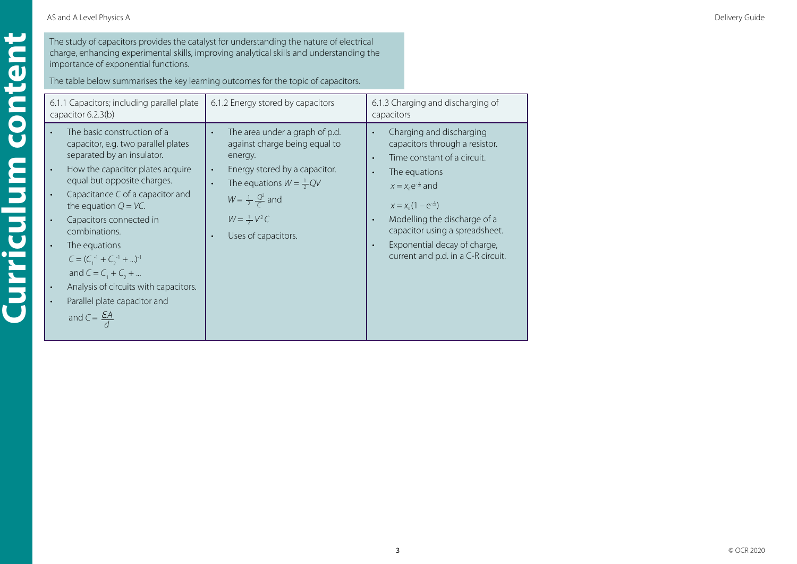**Curriculum content**

<span id="page-2-0"></span>Curriculum content

The study of capacitors provides the catalyst for understanding the nature of electrical charge, enhancing experimental skills, improving analytical skills and understanding the importance of exponential functions.

The table below summarises the key learning outcomes for the topic of capacitors.

| 6.1.1 Capacitors; including parallel plate<br>capacitor 6.2.3(b)                                                                                                                                                                                                                                                                                                                                                                                                                                                                                                         | 6.1.2 Energy stored by capacitors                                                                                                                                                                                                                                                             | 6.1.3 Charging and discharging of<br>capacitors                                                                                                                                                                                                                                                                                                     |  |
|--------------------------------------------------------------------------------------------------------------------------------------------------------------------------------------------------------------------------------------------------------------------------------------------------------------------------------------------------------------------------------------------------------------------------------------------------------------------------------------------------------------------------------------------------------------------------|-----------------------------------------------------------------------------------------------------------------------------------------------------------------------------------------------------------------------------------------------------------------------------------------------|-----------------------------------------------------------------------------------------------------------------------------------------------------------------------------------------------------------------------------------------------------------------------------------------------------------------------------------------------------|--|
| The basic construction of a<br>$\bullet$<br>capacitor, e.g. two parallel plates<br>separated by an insulator.<br>How the capacitor plates acquire<br>$\bullet$<br>equal but opposite charges.<br>Capacitance C of a capacitor and<br>$\bullet$<br>the equation $Q = VC$ .<br>Capacitors connected in<br>$\bullet$<br>combinations.<br>The equations<br>$\bullet$<br>$C = (C_1^{-1} + C_2^{-1} + )^{-1}$<br>and $C = C_1 + C_2 + $<br>Analysis of circuits with capacitors.<br>$\bullet$<br>Parallel plate capacitor and<br>$\bullet$<br>and $C = \frac{\mathcal{E}A}{4}$ | The area under a graph of p.d.<br>$\bullet$<br>against charge being equal to<br>energy.<br>Energy stored by a capacitor.<br>$\bullet$<br>The equations $W = \frac{1}{2}QV$<br>$\bullet$<br>$W = \frac{1}{2} \frac{Q^2}{C}$ and<br>$W = \frac{1}{2} V^2 C$<br>Uses of capacitors.<br>$\bullet$ | Charging and discharging<br>capacitors through a resistor.<br>Time constant of a circuit.<br>The equations<br>$x = x_0 e^{-\frac{t}{CR}}$ and<br>$x = x_0(1 - e^{-\frac{t}{CR}})$<br>Modelling the discharge of a<br>$\bullet$<br>capacitor using a spreadsheet.<br>Exponential decay of charge,<br>$\bullet$<br>current and p.d. in a C-R circuit. |  |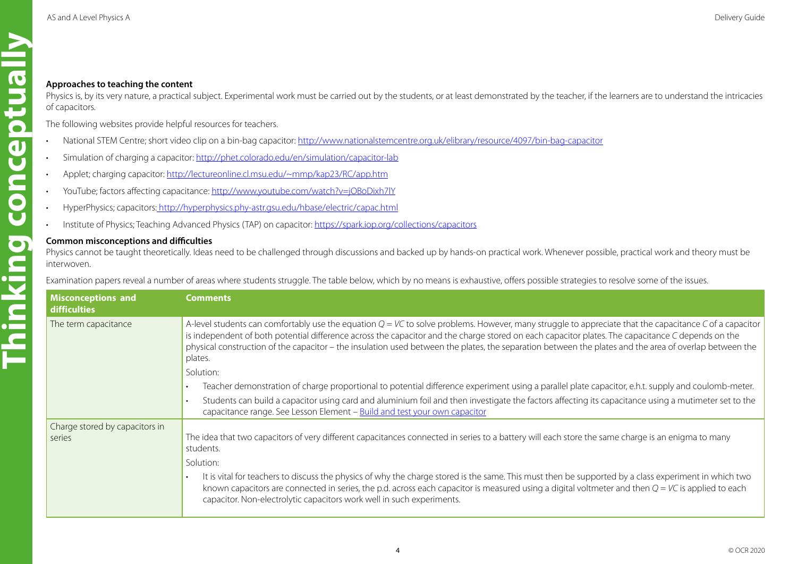- National STEM Centre; short video clip on a bin-bag capacitor: <http://www.nationalstemcentre.org.uk/elibrary/resource/4097/bin-bag-capacitor>
- Simulation of charging a capacitor: <http://phet.colorado.edu/en/simulation/capacitor-lab>
- Applet; charging capacitor:<http://lectureonline.cl.msu.edu/~mmp/kap23/RC/app.htm>
- YouTube; factors affecting capacitance: <http://www.youtube.com/watch?v=jOBoDixh7lY>
- HyperPhysics; capacitors: <http://hyperphysics.phy-astr.gsu.edu/hbase/electric/capac.html>
- Institute of Physics; Teaching Advanced Physics (TAP) on capacitor:<https://spark.iop.org/collections/capacitors>

#### **Common misconceptions and difficulties**

<span id="page-3-0"></span>

| Approaches to teaching the content<br>of capacitors. | Physics is, by its very nature, a practical subject. Experimental work must be carried out by the students, or at least demonstrated by the teacher, if the learners are to understand the intricacies                                                                                                                                                                                                                                                                                                                                                                                                                                                                                                                                                                                                          |
|------------------------------------------------------|-----------------------------------------------------------------------------------------------------------------------------------------------------------------------------------------------------------------------------------------------------------------------------------------------------------------------------------------------------------------------------------------------------------------------------------------------------------------------------------------------------------------------------------------------------------------------------------------------------------------------------------------------------------------------------------------------------------------------------------------------------------------------------------------------------------------|
|                                                      | The following websites provide helpful resources for teachers.                                                                                                                                                                                                                                                                                                                                                                                                                                                                                                                                                                                                                                                                                                                                                  |
|                                                      | National STEM Centre; short video clip on a bin-bag capacitor: http://www.nationalstemcentre.org.uk/elibrary/resource/4097/bin-bag-capacitor                                                                                                                                                                                                                                                                                                                                                                                                                                                                                                                                                                                                                                                                    |
|                                                      | Simulation of charging a capacitor: http://phet.colorado.edu/en/simulation/capacitor-lab                                                                                                                                                                                                                                                                                                                                                                                                                                                                                                                                                                                                                                                                                                                        |
|                                                      | Applet; charging capacitor: http://lectureonline.cl.msu.edu/~mmp/kap23/RC/app.htm                                                                                                                                                                                                                                                                                                                                                                                                                                                                                                                                                                                                                                                                                                                               |
|                                                      | YouTube; factors affecting capacitance: http://www.youtube.com/watch?v=jOBoDixh7lY                                                                                                                                                                                                                                                                                                                                                                                                                                                                                                                                                                                                                                                                                                                              |
|                                                      | HyperPhysics; capacitors: http://hyperphysics.phy-astr.gsu.edu/hbase/electric/capac.html                                                                                                                                                                                                                                                                                                                                                                                                                                                                                                                                                                                                                                                                                                                        |
|                                                      | Institute of Physics; Teaching Advanced Physics (TAP) on capacitor: https://spark.iop.org/collections/capacitors                                                                                                                                                                                                                                                                                                                                                                                                                                                                                                                                                                                                                                                                                                |
|                                                      | Examination papers reveal a number of areas where students struggle. The table below, which by no means is exhaustive, offers possible strategies to resolve some of the issues.                                                                                                                                                                                                                                                                                                                                                                                                                                                                                                                                                                                                                                |
| <b>Misconceptions and</b>                            | <b>Comments</b>                                                                                                                                                                                                                                                                                                                                                                                                                                                                                                                                                                                                                                                                                                                                                                                                 |
| <b>difficulties</b><br>The term capacitance          | is independent of both potential difference across the capacitor and the charge stored on each capacitor plates. The capacitance C depends on the<br>plates.<br>Solution:<br>capacitance range. See Lesson Element - Build and test your own capacitor                                                                                                                                                                                                                                                                                                                                                                                                                                                                                                                                                          |
| Charge stored by capacitors in<br>series             | A-level students can comfortably use the equation $Q = VC$ to solve problems. However, many struggle to appreciate that the capacitance C of a capacitor<br>physical construction of the capacitor – the insulation used between the plates, the separation between the plates and the area of overlap between the<br>Teacher demonstration of charge proportional to potential difference experiment using a parallel plate capacitor, e.h.t. supply and coulomb-meter.<br>Students can build a capacitor using card and aluminium foil and then investigate the factors affecting its capacitance using a mutimeter set to the<br>The idea that two capacitors of very different capacitances connected in series to a battery will each store the same charge is an enigma to many<br>students.<br>Solution: |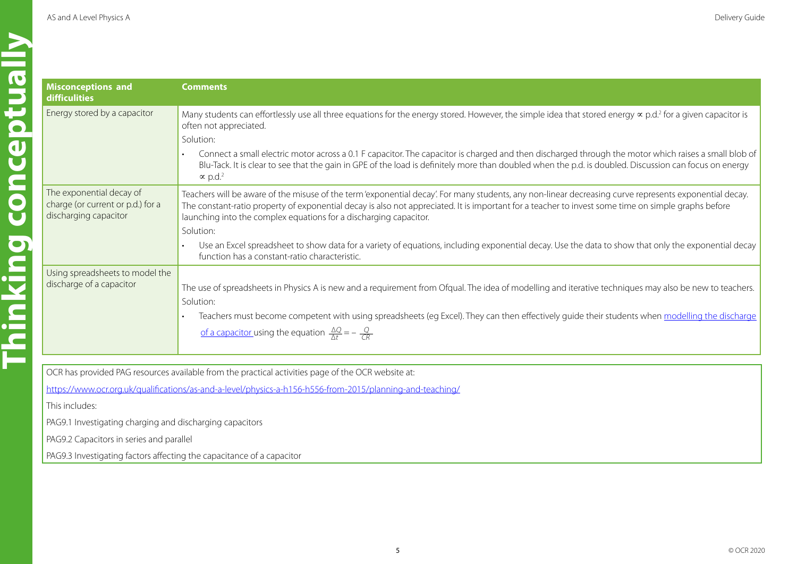| <b>Misconceptions and</b><br>difficulities<br>Energy stored by a capa      |
|----------------------------------------------------------------------------|
|                                                                            |
| The exponential decay<br>charge (or current or p.<br>discharging capacitor |
| Using spreadsheets to r<br>discharge of a capacito                         |
|                                                                            |

| <b>Misconceptions and</b><br><b>difficulities</b>                                                         | <b>Comments</b>                                                                                                                                                                                                                                                                                                                                                                    |  |  |
|-----------------------------------------------------------------------------------------------------------|------------------------------------------------------------------------------------------------------------------------------------------------------------------------------------------------------------------------------------------------------------------------------------------------------------------------------------------------------------------------------------|--|--|
| Energy stored by a capacitor                                                                              | Many students can effortlessly use all three equations for the energy stored. However, the simple idea that stored energy $\propto$ p.d. <sup>2</sup> for a given capacitor is<br>often not appreciated.                                                                                                                                                                           |  |  |
|                                                                                                           | Solution:                                                                                                                                                                                                                                                                                                                                                                          |  |  |
|                                                                                                           | Connect a small electric motor across a 0.1 F capacitor. The capacitor is charged and then discharged through the motor which raises a small blob of<br>Blu-Tack. It is clear to see that the gain in GPE of the load is definitely more than doubled when the p.d. is doubled. Discussion can focus on energy<br>$\propto$ p.d. <sup>2</sup>                                      |  |  |
| The exponential decay of<br>charge (or current or p.d.) for a<br>discharging capacitor                    | Teachers will be aware of the misuse of the term 'exponential decay'. For many students, any non-linear decreasing curve represents exponential decay.<br>The constant-ratio property of exponential decay is also not appreciated. It is important for a teacher to invest some time on simple graphs before<br>launching into the complex equations for a discharging capacitor. |  |  |
|                                                                                                           | Solution:                                                                                                                                                                                                                                                                                                                                                                          |  |  |
|                                                                                                           | Use an Excel spreadsheet to show data for a variety of equations, including exponential decay. Use the data to show that only the exponential decay<br>function has a constant-ratio characteristic.                                                                                                                                                                               |  |  |
| Using spreadsheets to model the                                                                           |                                                                                                                                                                                                                                                                                                                                                                                    |  |  |
| discharge of a capacitor                                                                                  | The use of spreadsheets in Physics A is new and a requirement from Ofqual. The idea of modelling and iterative techniques may also be new to teachers.<br>Solution:                                                                                                                                                                                                                |  |  |
|                                                                                                           | Teachers must become competent with using spreadsheets (eg Excel). They can then effectively guide their students when modelling the discharge                                                                                                                                                                                                                                     |  |  |
|                                                                                                           | <u>of a capacitor</u> using the equation $\frac{\Delta Q}{\Delta t} = -\frac{Q}{CR}$                                                                                                                                                                                                                                                                                               |  |  |
|                                                                                                           |                                                                                                                                                                                                                                                                                                                                                                                    |  |  |
|                                                                                                           | OCR has provided PAG resources available from the practical activities page of the OCR website at:                                                                                                                                                                                                                                                                                 |  |  |
| https://www.ocr.org.uk/qualifications/as-and-a-level/physics-a-h156-h556-from-2015/planning-and-teaching/ |                                                                                                                                                                                                                                                                                                                                                                                    |  |  |
|                                                                                                           |                                                                                                                                                                                                                                                                                                                                                                                    |  |  |

This includes:

PAG9.1 Investigating charging and discharging capacitors

**PAG9.2 Capacitors in series and parallel** 

PAG9.3 Investigating factors affecting the capacitance of a capacitor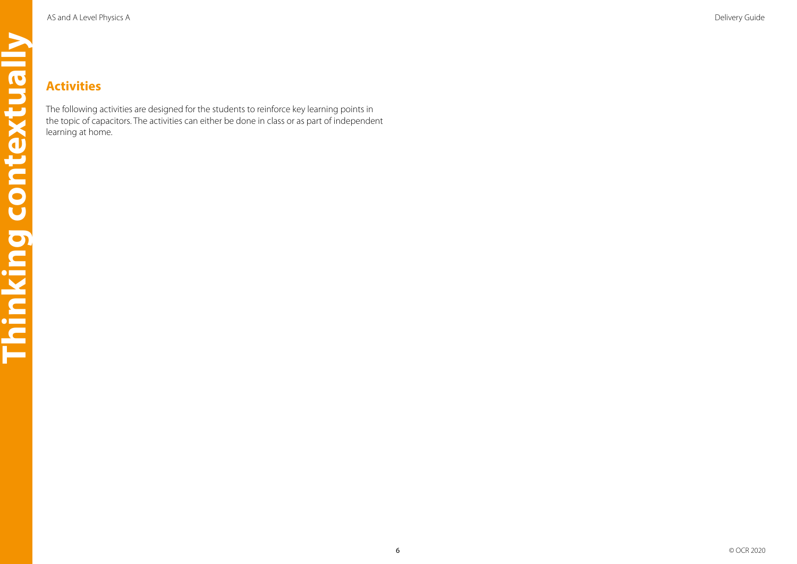<span id="page-5-0"></span>The following activities are designed for the students to reinforce key learning points in the topic of capacitors. The activities can either be done in class or as part of independent learning at home.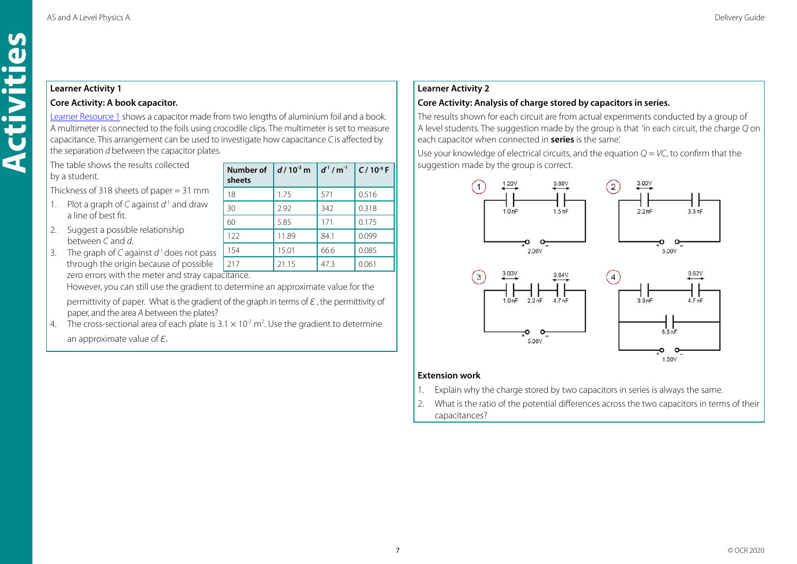#### <span id="page-6-0"></span>**Learner Activity 1**

#### **Core Activity: A book capacitor.**

[Learner Resource 1](#page-9-0) shows a capacitor made from two lengths of aluminium foil and a book. A multimeter is connected to the foils using crocodile clips. The multimeter is set to measure capacitance. This arrangement can be used to investigate how capacitance *C* is affected by the separation *d* between the capacitor plates.

The table shows the results collected by a student.

Thickness of 318 sheets of paper = 31 mm

- 1. Plot a graph of *C* against *d*-1 and draw a line of best fit.
- 2. Suggest a possible relationship between *C* and *d*.
- 3. The graph of *C* against *d*-1 does not pass through the origin because of possible zero errors with the meter and stray capacitance.

|               | Number of<br>sheets | $d/10^{3}$ m | $d^{1}/m^{1}$ | $C/10^{-9} F$ |  |
|---------------|---------------------|--------------|---------------|---------------|--|
|               | 18                  | 1.75         | 571           | 0.516         |  |
|               | 30                  | 2.92         | 342           | 0.318         |  |
|               | 60                  | 5.85         | 171           | 0.175         |  |
|               | 122                 | 11.89        | 84.1          | 0.099         |  |
| $\frac{1}{2}$ | 154                 | 15.01        | 66.6          | 0.085         |  |
|               | 217                 | 21.15        | 47.3          | 0.061         |  |
|               | بالدامي والمستقل    |              |               |               |  |

However, you can still use the gradient to determine an approximate value for the

 permittivity of paper. What is the gradient of the graph in terms of *ε* , the permittivity of paper, and the area *A* between the plates?

4. The cross-sectional area of each plate is  $3.1 \times 10^{-2}$  m<sup>2</sup>. Use the gradient to determine an approximate value of *ε*.

#### **Learner Activity 2**

#### **Core Activity: Analysis of charge stored by capacitors in series.**

The results shown for each circuit are from actual experiments conducted by a group of A level students. The suggestion made by the group is that 'in each circuit, the charge *Q* on each capacitor when connected in **series** is the same'.

Use your knowledge of electrical circuits, and the equation *Q* = *VC*, to confirm that the suggestion made by the group is correct.



#### **Extension work**

- 1. Explain why the charge stored by two capacitors in series is always the same.
- 2. What is the ratio of the potential differences across the two capacitors in terms of their capacitances?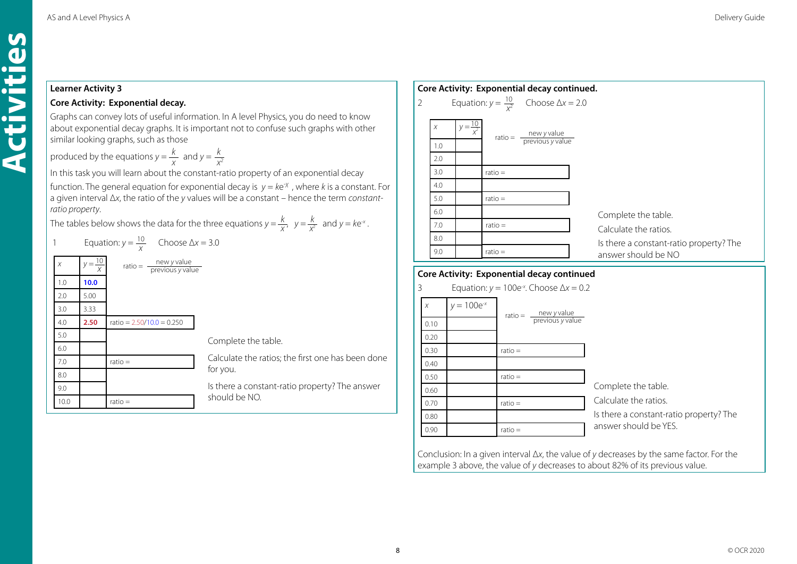#### **Learner Activity 3**

**Activities**

Activities

#### **Core Activity: Exponential decay.**

Graphs can convey lots of useful information. In A level Physics, you do need to know about exponential decay graphs. It is important not to confuse such graphs with other similar looking graphs, such as those

 $k$  and  $v - k$ produced by the equations  $y = \frac{k}{x}$  and  $y = \frac{k}{x^2}$ 

In this task you will learn about the constant-ratio property of an exponential decay function. The general equation for exponential decay is *y* = *k*e-*<sup>χ</sup>* , where *k* is a constant. For a given interval Δ*x*, the ratio of the *y* values will be a constant – hence the term *constantratio property*.

*k x k* The tables below shows the data for the three equations  $y = \frac{\kappa}{x}$ ,  $y = \frac{\kappa}{x^2}$  and  $y = ke^x$ .

| $\overline{1}$ |                    | Equation: $y = \frac{10}{x}$ Choose $\Delta x = 3.0$ |                                                   |
|----------------|--------------------|------------------------------------------------------|---------------------------------------------------|
| $\chi$         | $y = \frac{10}{x}$ | ratio = $\frac{new y value}{previous y value}$       |                                                   |
| 1.0            | 10.0               |                                                      |                                                   |
| 2.0            | 5.00               |                                                      |                                                   |
| 3.0            | 3.33               |                                                      |                                                   |
| 4.0            | 2.50               | ratio = $2.50/10.0 = 0.250$                          |                                                   |
| 5.0            |                    |                                                      | Complete the table.                               |
| 6.0            |                    |                                                      |                                                   |
| 7.0            |                    | $ratio =$                                            | Calculate the ratios; the first one has been done |
| 8.0            |                    |                                                      | for you.                                          |
| 9.0            |                    |                                                      | Is there a constant-ratio property? The answer    |
| 10.0           |                    | $ratio =$                                            | should be NO.                                     |

|                | Core Activity: Exponential decay continued. |                      |           |                                                        |                                         |
|----------------|---------------------------------------------|----------------------|-----------|--------------------------------------------------------|-----------------------------------------|
| $\overline{2}$ |                                             |                      |           | Equation: $y = \frac{10}{x^2}$ Choose $\Delta x = 2.0$ |                                         |
|                | $\chi$                                      | $y = \frac{10}{x^2}$ |           | ratio = $\frac{new y value}{previous y value}$         |                                         |
|                | 1.0                                         |                      |           |                                                        |                                         |
|                | 2.0                                         |                      |           |                                                        |                                         |
|                | 3.0                                         |                      | $ratio =$ |                                                        |                                         |
|                | 4.0                                         |                      |           |                                                        |                                         |
|                | 5.0                                         |                      | $ratio =$ |                                                        |                                         |
|                | 6.0                                         |                      |           |                                                        | Complete the table.                     |
|                | 7.0                                         |                      | $ratio =$ |                                                        | Calculate the ratios.                   |
|                | 8.0                                         |                      |           |                                                        | Is there a constant-ratio property? The |
|                | 9.0                                         |                      | $ratio =$ |                                                        | answer should be NO                     |
|                |                                             |                      |           |                                                        |                                         |

#### **Core Activity: Exponential decay continued**

3 Equation: *y* = 100e-*<sup>x</sup>* . Choose Δ*x* = 0.2 Complete the table. Calculate the ratios. Is there a constant-ratio property? The answer should be YES. *x*  $V = 100e^{-x}$ 0.10 0.20 0.30 0.40 0.50 0.60 0.70 0.80 0.90  $ratio =$ ratio = ratio = ratio = <u>mew y value</u> previous *y* value ratio =

Conclusion: In a given interval Δ*x*, the value of *y* decreases by the same factor. For the example 3 above, the value of *y* decreases to about 82% of its previous value.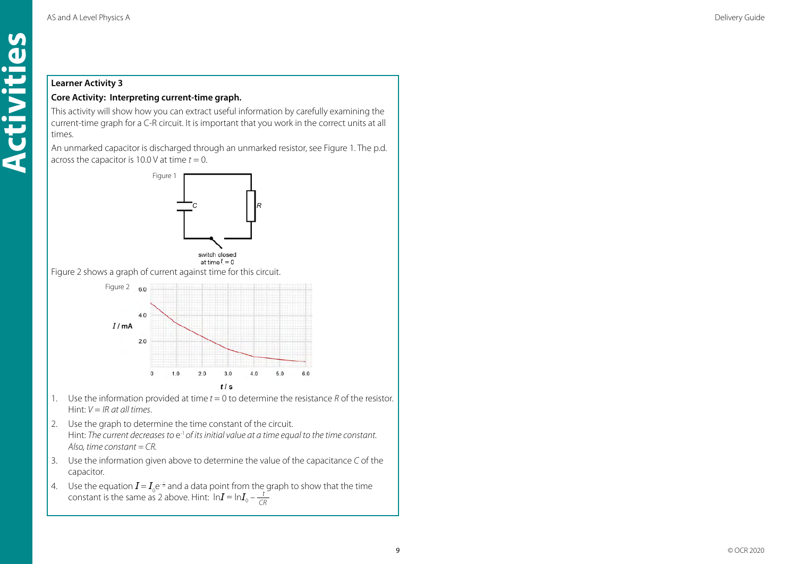#### **Learner Activity 3**

**Activities**

Activiti

 $\mathbf{M}$  $\overline{\mathbf{d}}$ 

#### **Core Activity: Interpreting current-time graph.**

This activity will show how you can extract useful information by carefully examining the current-time graph for a C-R circuit. It is important that you work in the correct units at all times.

An unmarked capacitor is discharged through an unmarked resistor, see Figure 1. The p.d. across the capacitor is 10.0 V at time  $t = 0$ .





Figure 2 shows a graph of current against time for this circuit.



- 1. Use the information provided at time *t* = 0 to determine the resistance *R* of the resistor. Hint: *V* = *IR at all times*.
- 2. Use the graph to determine the time constant of the circuit. Hint: *The current decreases to e<sup>-1</sup> of its initial value at a time equal to the time constant. Also, time constant = CR.*
- 3. Use the information given above to determine the value of the capacitance *C* of the capacitor.
- 4. Use the equation  $I = I_0 e^{i\phi}$  and a data point from the graph to show that the time constant is the same as 2 above. Hint:  $\ln I = \ln I_0 - \frac{t}{C}$ *CR*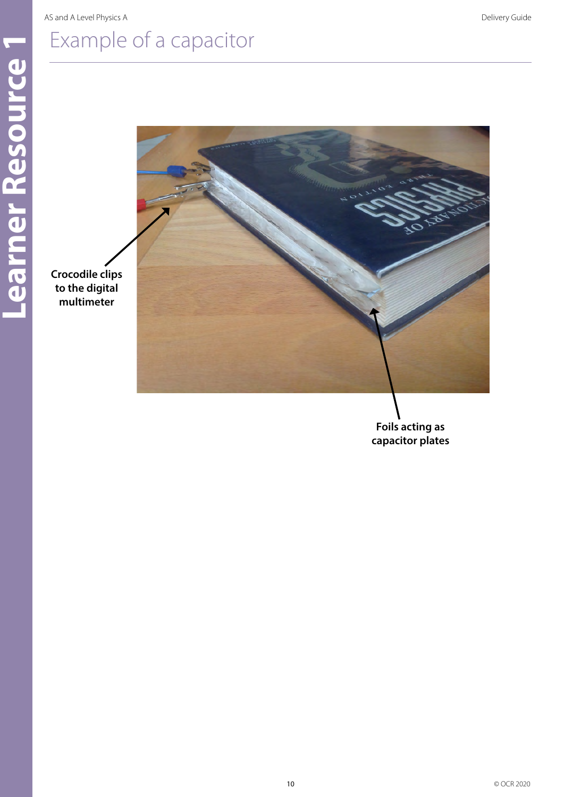**multimeter**

# <span id="page-9-0"></span>Example of a capacitor



**Foils acting as capacitor plates**